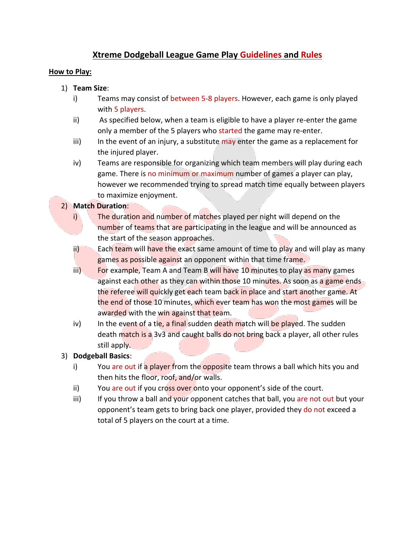## **Xtreme Dodgeball League Game Play Guidelines and Rules**

## **How to Play:**

- 1) **Team Size**:
	- i) Teams may consist of between 5-8 players. However, each game is only played with 5 players.
	- ii) As specified below, when a team is eligible to have a player re-enter the game only a member of the 5 players who started the game may re-enter.
	- iii) In the event of an injury, a substitute may enter the game as a replacement for the injured player.
	- iv) Teams are responsible for organizing which team members will play during each game. There is no minimum or maximum number of games a player can play, however we recommended trying to spread match time equally between players to maximize enjoyment.

## 2) **Match Duration**:

- i) The duration and number of matches played per night will depend on the number of teams that are participating in the league and will be announced as the start of the season approaches.
- ii) Each team will have the exact same amount of time to play and will play as many games as possible against an opponent within that time frame.
- iii) For example, Team A and Team B will have 10 minutes to play as many games against each other as they can within those 10 minutes. As soon as a game ends the referee will quickly get each team back in place and start another game. At the end of those 10 minutes, which ever team has won the most games will be awarded with the win against that team.
- iv) In the event of a tie, a final sudden death match will be played. The sudden death match is a 3v3 and caught balls do not bring back a player, all other rules still apply.
- 3) **Dodgeball Basics**:
	- i) You are out if a player from the opposite team throws a ball which hits you and then hits the floor, roof, and/or walls.
	- ii) You are out if you cross over onto your opponent's side of the court.
	- iii) If you throw a ball and your opponent catches that ball, you are not out but your opponent's team gets to bring back one player, provided they do not exceed a total of 5 players on the court at a time.